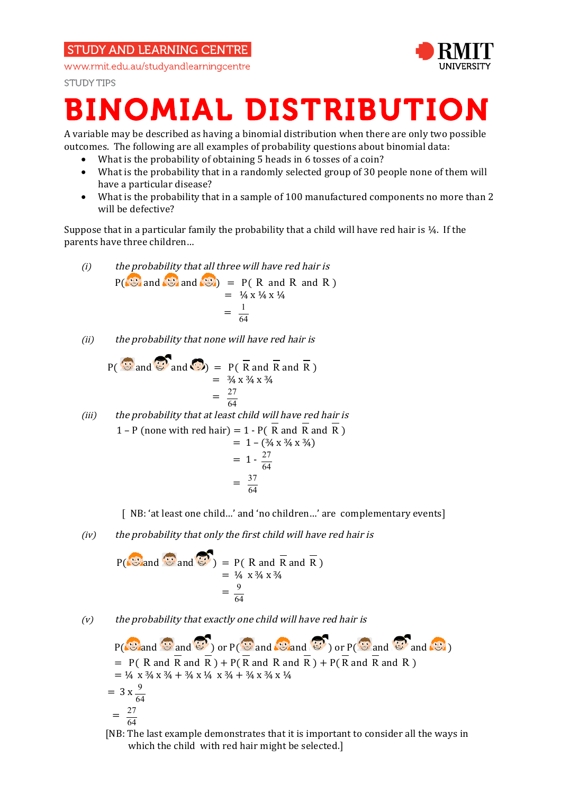# **STUDY AND LEARNING CENTRE**

www.rmit.edu.au/studyandlearningcentre



**STUDY TIPS** 

# BINOMIAL DISTRIBUTION

A variable may be described as having a binomial distribution when there are only two possible outcomes. The following are all examples of probability questions about binomial data:

- What is the probability of obtaining 5 heads in 6 tosses of a coin?
- What is the probability that in a randomly selected group of 30 people none of them will have a particular disease?
- What is the probability that in a sample of 100 manufactured components no more than 2 will be defective?

Suppose that in a particular family the probability that a child will have red hair is ¼. If the parents have three children…

(i) the probability that all three will have red hair is  $P(\mathbb{S})$  and  $\mathbb{S}$  and  $\mathbb{S}$  and  $P(\mathbb{R})$  and R and R )  $=$   $\frac{1}{4}$  x  $\frac{1}{4}$  x  $\frac{1}{4}$  $=$   $\frac{1}{2}$   $\frac{1}{2}$   $\frac{1}{2}$   $\frac{1}{2}$   $\frac{1}{2}$   $\frac{1}{2}$   $\frac{1}{2}$   $\frac{1}{2}$   $\frac{1}{2}$   $\frac{1}{2}$   $\frac{1}{2}$   $\frac{1}{2}$   $\frac{1}{2}$   $\frac{1}{2}$   $\frac{1}{2}$   $\frac{1}{2}$   $\frac{1}{2}$   $\frac{1}{2}$   $\frac{1}{2}$   $\frac{1}{2}$   $\frac{1}{2}$   $\frac{1}{2$ 1 64

(ii) the probability that none will have red hair is

$$
P(\overrightarrow{S} \text{ and } \overrightarrow{S}) = P(\overrightarrow{R} \text{ and } \overrightarrow{R} \text{ and } \overrightarrow{R})
$$
  
=  $\frac{3}{4} \times 34 \times 34$   
=  $\frac{27}{64}$ 

(iii) the probability that at least child will have red hair is 1 – P (none with red hair) = 1 - P ( $\overline{R}$  and  $\overline{R}$ )  $= 1 - (34 \times 34 \times 34)$  $= 1 - \frac{27}{64}$  $=$   $\frac{1}{2}$   $\frac{1}{2}$   $\frac{1}{2}$   $\frac{1}{2}$   $\frac{1}{2}$   $\frac{1}{2}$   $\frac{1}{2}$   $\frac{1}{2}$   $\frac{1}{2}$   $\frac{1}{2}$   $\frac{1}{2}$   $\frac{1}{2}$   $\frac{1}{2}$   $\frac{1}{2}$   $\frac{1}{2}$   $\frac{1}{2}$   $\frac{1}{2}$   $\frac{1}{2}$   $\frac{1}{2}$   $\frac{1}{2}$   $\frac{1}{2}$   $\frac{1}{2$  $\frac{37}{64}$ 

[ NB: 'at least one child...' and 'no children...' are complementary events]

(iv) the probability that only the first child will have red hair is

$$
P(\overrightarrow{8\text{ and } \overrightarrow{3}}\text{ and } \overrightarrow{3}) = P(R \text{ and } \overrightarrow{R} \text{ and } \overrightarrow{R})
$$
  
=  $\frac{1}{4} \times 34 \times 34$   
=  $\frac{9}{64}$ 

 $(v)$  the probability that exactly one child will have red hair is

 $P(\mathbb{C})$  and  $\mathbb{C}$  or  $P(\mathbb{C})$  and  $\mathbb{C}$  and  $\mathbb{C}$  or  $P(\mathbb{C})$  and  $\mathbb{C}$  and  $\mathbb{C}$  $= P(R \text{ and } \overline{R} \text{ and } \overline{R}) + P(R \text{ and } R \text{ and } R) + P(R \text{ and } R \text{ and } R)$  $=$   $\frac{1}{4}$  x  $\frac{3}{4}$  x  $\frac{3}{4}$  +  $\frac{3}{4}$  x  $\frac{1}{4}$  x  $\frac{3}{4}$  x  $\frac{1}{4}$  x  $\frac{3}{4}$  x  $\frac{1}{4}$  $= 3 \times \frac{9}{64}$  $=\frac{27}{11}$ 64

 [NB: The last example demonstrates that it is important to consider all the ways in which the child with red hair might be selected.]